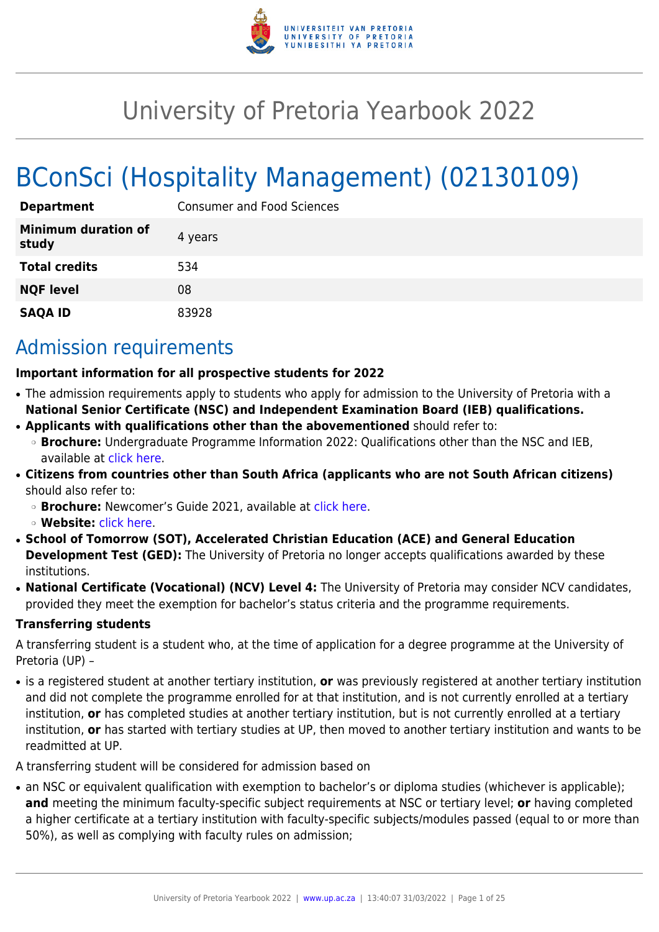

# University of Pretoria Yearbook 2022

# BConSci (Hospitality Management) (02130109)

| <b>Department</b>                   | <b>Consumer and Food Sciences</b> |
|-------------------------------------|-----------------------------------|
| <b>Minimum duration of</b><br>study | 4 years                           |
| <b>Total credits</b>                | 534                               |
| <b>NQF level</b>                    | 08                                |
| <b>SAQA ID</b>                      | 83928                             |

# Admission requirements

#### **Important information for all prospective students for 2022**

- The admission requirements apply to students who apply for admission to the University of Pretoria with a **National Senior Certificate (NSC) and Independent Examination Board (IEB) qualifications.**
- **Applicants with qualifications other than the abovementioned** should refer to:
- ❍ **Brochure:** Undergraduate Programme Information 2022: Qualifications other than the NSC and IEB, available at [click here.](https://www.up.ac.za/students/article/2749263/admission-information)
- **Citizens from countries other than South Africa (applicants who are not South African citizens)** should also refer to:
	- ❍ **Brochure:** Newcomer's Guide 2021, available at [click here.](https://www.up.ac.za/students/article/2749263/admission-information)
	- ❍ **Website:** [click here](http://www.up.ac.za/international-cooperation-division).
- **School of Tomorrow (SOT), Accelerated Christian Education (ACE) and General Education Development Test (GED):** The University of Pretoria no longer accepts qualifications awarded by these institutions.
- **National Certificate (Vocational) (NCV) Level 4:** The University of Pretoria may consider NCV candidates, provided they meet the exemption for bachelor's status criteria and the programme requirements.

#### **Transferring students**

A transferring student is a student who, at the time of application for a degree programme at the University of Pretoria (UP) –

● is a registered student at another tertiary institution, **or** was previously registered at another tertiary institution and did not complete the programme enrolled for at that institution, and is not currently enrolled at a tertiary institution, **or** has completed studies at another tertiary institution, but is not currently enrolled at a tertiary institution, **or** has started with tertiary studies at UP, then moved to another tertiary institution and wants to be readmitted at UP.

A transferring student will be considered for admission based on

• an NSC or equivalent qualification with exemption to bachelor's or diploma studies (whichever is applicable); **and** meeting the minimum faculty-specific subject requirements at NSC or tertiary level; **or** having completed a higher certificate at a tertiary institution with faculty-specific subjects/modules passed (equal to or more than 50%), as well as complying with faculty rules on admission;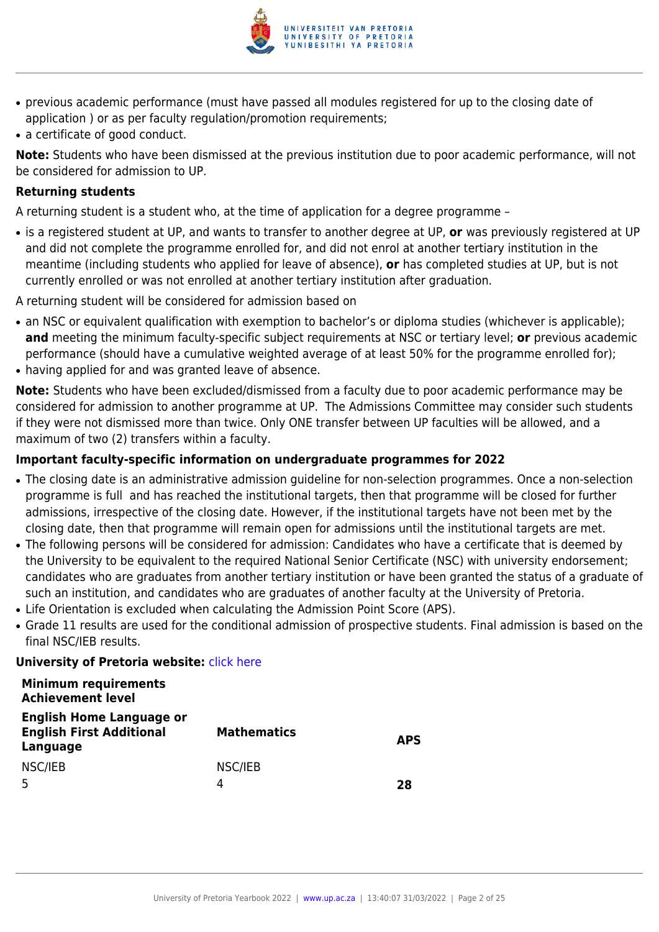

- previous academic performance (must have passed all modules registered for up to the closing date of application ) or as per faculty regulation/promotion requirements;
- a certificate of good conduct.

**Note:** Students who have been dismissed at the previous institution due to poor academic performance, will not be considered for admission to UP.

#### **Returning students**

A returning student is a student who, at the time of application for a degree programme –

● is a registered student at UP, and wants to transfer to another degree at UP, **or** was previously registered at UP and did not complete the programme enrolled for, and did not enrol at another tertiary institution in the meantime (including students who applied for leave of absence), **or** has completed studies at UP, but is not currently enrolled or was not enrolled at another tertiary institution after graduation.

A returning student will be considered for admission based on

- an NSC or equivalent qualification with exemption to bachelor's or diploma studies (whichever is applicable); **and** meeting the minimum faculty-specific subject requirements at NSC or tertiary level; **or** previous academic performance (should have a cumulative weighted average of at least 50% for the programme enrolled for);
- having applied for and was granted leave of absence.

**Note:** Students who have been excluded/dismissed from a faculty due to poor academic performance may be considered for admission to another programme at UP. The Admissions Committee may consider such students if they were not dismissed more than twice. Only ONE transfer between UP faculties will be allowed, and a maximum of two (2) transfers within a faculty.

#### **Important faculty-specific information on undergraduate programmes for 2022**

- The closing date is an administrative admission guideline for non-selection programmes. Once a non-selection programme is full and has reached the institutional targets, then that programme will be closed for further admissions, irrespective of the closing date. However, if the institutional targets have not been met by the closing date, then that programme will remain open for admissions until the institutional targets are met.
- The following persons will be considered for admission: Candidates who have a certificate that is deemed by the University to be equivalent to the required National Senior Certificate (NSC) with university endorsement; candidates who are graduates from another tertiary institution or have been granted the status of a graduate of such an institution, and candidates who are graduates of another faculty at the University of Pretoria.
- Life Orientation is excluded when calculating the Admission Point Score (APS).
- Grade 11 results are used for the conditional admission of prospective students. Final admission is based on the final NSC/IEB results.

#### **University of Pretoria website: [click here](http://www.up.ac.za/nas)**

#### **Minimum requirements Achievement level**

| <b>English Home Language or</b><br><b>English First Additional</b><br>Language | <b>Mathematics</b> | <b>APS</b> |
|--------------------------------------------------------------------------------|--------------------|------------|
| NSC/IEB                                                                        | NSC/IEB            |            |
|                                                                                |                    | 28         |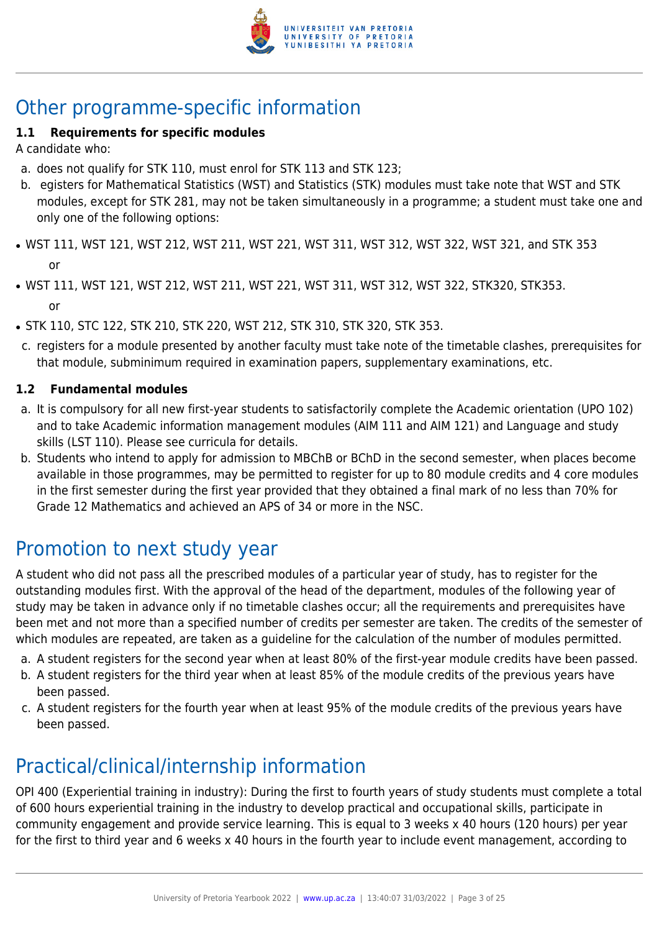

# Other programme-specific information

### **1.1 Requirements for specific modules**

A candidate who:

- a. does not qualify for STK 110, must enrol for STK 113 and STK 123;
- b. egisters for Mathematical Statistics (WST) and Statistics (STK) modules must take note that WST and STK modules, except for STK 281, may not be taken simultaneously in a programme; a student must take one and only one of the following options:
- WST 111, WST 121, WST 212, WST 211, WST 221, WST 311, WST 312, WST 322, WST 321, and STK 353 or
- WST 111, WST 121, WST 212, WST 211, WST 221, WST 311, WST 312, WST 322, STK320, STK353. or
- STK 110, STC 122, STK 210, STK 220, WST 212, STK 310, STK 320, STK 353.
- c. registers for a module presented by another faculty must take note of the timetable clashes, prerequisites for that module, subminimum required in examination papers, supplementary examinations, etc.

#### **1.2 Fundamental modules**

- a. It is compulsory for all new first-year students to satisfactorily complete the Academic orientation (UPO 102) and to take Academic information management modules (AIM 111 and AIM 121) and Language and study skills (LST 110). Please see curricula for details.
- b. Students who intend to apply for admission to MBChB or BChD in the second semester, when places become available in those programmes, may be permitted to register for up to 80 module credits and 4 core modules in the first semester during the first year provided that they obtained a final mark of no less than 70% for Grade 12 Mathematics and achieved an APS of 34 or more in the NSC.

# Promotion to next study year

A student who did not pass all the prescribed modules of a particular year of study, has to register for the outstanding modules first. With the approval of the head of the department, modules of the following year of study may be taken in advance only if no timetable clashes occur; all the requirements and prerequisites have been met and not more than a specified number of credits per semester are taken. The credits of the semester of which modules are repeated, are taken as a guideline for the calculation of the number of modules permitted.

- a. A student registers for the second year when at least 80% of the first-year module credits have been passed.
- b. A student registers for the third year when at least 85% of the module credits of the previous years have been passed.
- c. A student registers for the fourth year when at least 95% of the module credits of the previous years have been passed.

# Practical/clinical/internship information

OPI 400 (Experiential training in industry): During the first to fourth years of study students must complete a total of 600 hours experiential training in the industry to develop practical and occupational skills, participate in community engagement and provide service learning. This is equal to 3 weeks x 40 hours (120 hours) per year for the first to third year and 6 weeks x 40 hours in the fourth year to include event management, according to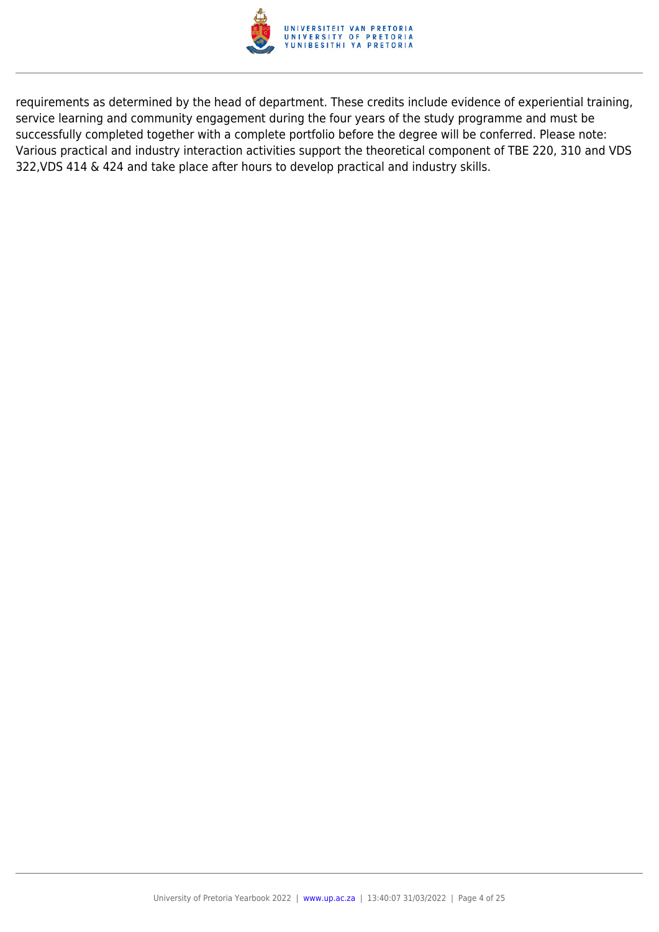

requirements as determined by the head of department. These credits include evidence of experiential training, service learning and community engagement during the four years of the study programme and must be successfully completed together with a complete portfolio before the degree will be conferred. Please note: Various practical and industry interaction activities support the theoretical component of TBE 220, 310 and VDS 322,VDS 414 & 424 and take place after hours to develop practical and industry skills.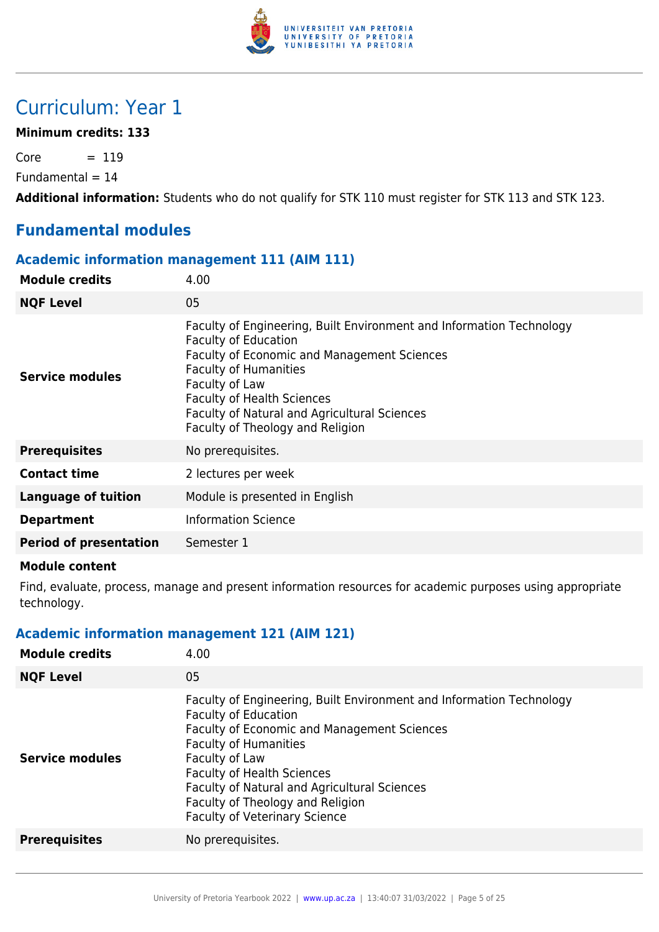

# Curriculum: Year 1

#### **Minimum credits: 133**

 $Core = 119$ 

 $Fundamental = 14$ 

**Additional information:** Students who do not qualify for STK 110 must register for STK 113 and STK 123.

# **Fundamental modules**

#### **Academic information management 111 (AIM 111)**

| <b>Module credits</b>         | 4.00                                                                                                                                                                                                                                                                                                                          |
|-------------------------------|-------------------------------------------------------------------------------------------------------------------------------------------------------------------------------------------------------------------------------------------------------------------------------------------------------------------------------|
| <b>NQF Level</b>              | 05                                                                                                                                                                                                                                                                                                                            |
| Service modules               | Faculty of Engineering, Built Environment and Information Technology<br><b>Faculty of Education</b><br>Faculty of Economic and Management Sciences<br><b>Faculty of Humanities</b><br>Faculty of Law<br><b>Faculty of Health Sciences</b><br>Faculty of Natural and Agricultural Sciences<br>Faculty of Theology and Religion |
| <b>Prerequisites</b>          | No prerequisites.                                                                                                                                                                                                                                                                                                             |
| <b>Contact time</b>           | 2 lectures per week                                                                                                                                                                                                                                                                                                           |
| <b>Language of tuition</b>    | Module is presented in English                                                                                                                                                                                                                                                                                                |
| <b>Department</b>             | <b>Information Science</b>                                                                                                                                                                                                                                                                                                    |
| <b>Period of presentation</b> | Semester 1                                                                                                                                                                                                                                                                                                                    |
|                               |                                                                                                                                                                                                                                                                                                                               |

#### **Module content**

Find, evaluate, process, manage and present information resources for academic purposes using appropriate technology.

#### **Academic information management 121 (AIM 121)**

| <b>Module credits</b>  | 4.00                                                                                                                                                                                                                                                                                                                                                                         |
|------------------------|------------------------------------------------------------------------------------------------------------------------------------------------------------------------------------------------------------------------------------------------------------------------------------------------------------------------------------------------------------------------------|
| <b>NQF Level</b>       | 05                                                                                                                                                                                                                                                                                                                                                                           |
| <b>Service modules</b> | Faculty of Engineering, Built Environment and Information Technology<br><b>Faculty of Education</b><br><b>Faculty of Economic and Management Sciences</b><br><b>Faculty of Humanities</b><br>Faculty of Law<br><b>Faculty of Health Sciences</b><br>Faculty of Natural and Agricultural Sciences<br>Faculty of Theology and Religion<br><b>Faculty of Veterinary Science</b> |
| <b>Prerequisites</b>   | No prerequisites.                                                                                                                                                                                                                                                                                                                                                            |
|                        |                                                                                                                                                                                                                                                                                                                                                                              |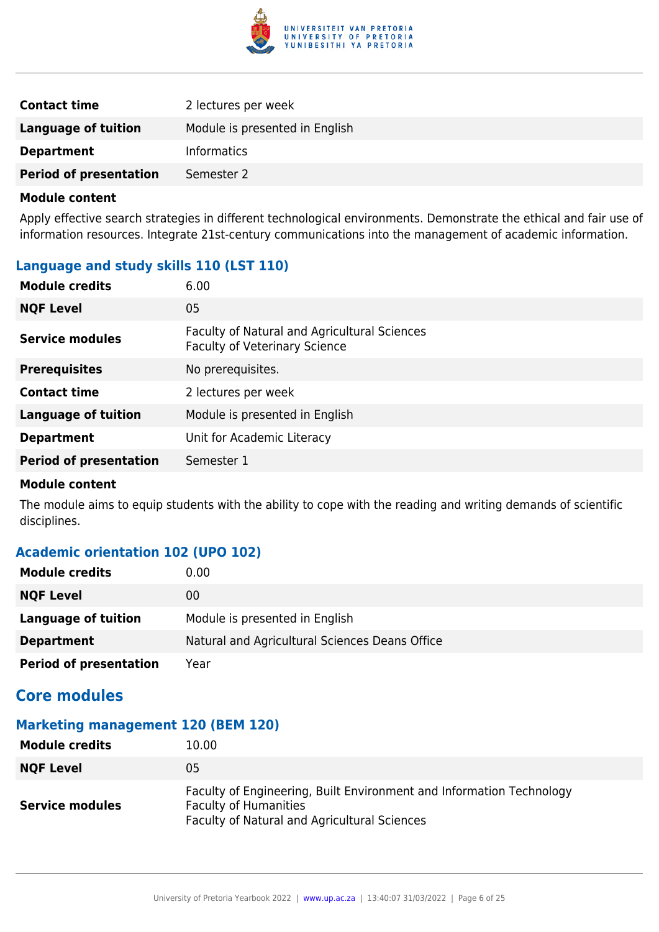

| <b>Contact time</b>           | 2 lectures per week            |
|-------------------------------|--------------------------------|
| Language of tuition           | Module is presented in English |
| <b>Department</b>             | <b>Informatics</b>             |
| <b>Period of presentation</b> | Semester 2                     |

Apply effective search strategies in different technological environments. Demonstrate the ethical and fair use of information resources. Integrate 21st-century communications into the management of academic information.

### **Language and study skills 110 (LST 110)**

| <b>Module credits</b>         | 6.00                                                                                 |
|-------------------------------|--------------------------------------------------------------------------------------|
| <b>NQF Level</b>              | 05                                                                                   |
| <b>Service modules</b>        | Faculty of Natural and Agricultural Sciences<br><b>Faculty of Veterinary Science</b> |
| <b>Prerequisites</b>          | No prerequisites.                                                                    |
| <b>Contact time</b>           | 2 lectures per week                                                                  |
| <b>Language of tuition</b>    | Module is presented in English                                                       |
| <b>Department</b>             | Unit for Academic Literacy                                                           |
| <b>Period of presentation</b> | Semester 1                                                                           |

#### **Module content**

The module aims to equip students with the ability to cope with the reading and writing demands of scientific disciplines.

#### **Academic orientation 102 (UPO 102)**

| <b>Module credits</b>         | 0.00                                           |
|-------------------------------|------------------------------------------------|
| <b>NQF Level</b>              | 00                                             |
| Language of tuition           | Module is presented in English                 |
| <b>Department</b>             | Natural and Agricultural Sciences Deans Office |
| <b>Period of presentation</b> | Year                                           |

# **Core modules**

# **Marketing management 120 (BEM 120)**

| Module credits         | 10.00                                                                                                                                                       |
|------------------------|-------------------------------------------------------------------------------------------------------------------------------------------------------------|
| <b>NQF Level</b>       | 05                                                                                                                                                          |
| <b>Service modules</b> | Faculty of Engineering, Built Environment and Information Technology<br><b>Faculty of Humanities</b><br><b>Faculty of Natural and Agricultural Sciences</b> |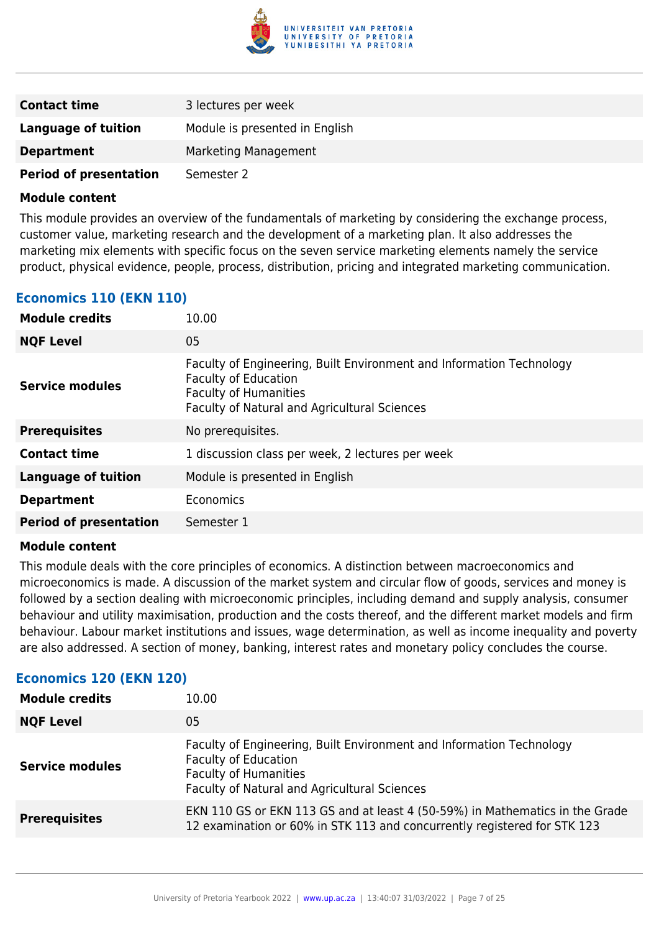

| <b>Contact time</b>           | 3 lectures per week            |
|-------------------------------|--------------------------------|
| <b>Language of tuition</b>    | Module is presented in English |
| <b>Department</b>             | Marketing Management           |
| <b>Period of presentation</b> | Semester 2                     |

This module provides an overview of the fundamentals of marketing by considering the exchange process, customer value, marketing research and the development of a marketing plan. It also addresses the marketing mix elements with specific focus on the seven service marketing elements namely the service product, physical evidence, people, process, distribution, pricing and integrated marketing communication.

### **Economics 110 (EKN 110)**

| <b>Module credits</b>         | 10.00                                                                                                                                                                               |
|-------------------------------|-------------------------------------------------------------------------------------------------------------------------------------------------------------------------------------|
| <b>NQF Level</b>              | 05                                                                                                                                                                                  |
| <b>Service modules</b>        | Faculty of Engineering, Built Environment and Information Technology<br><b>Faculty of Education</b><br><b>Faculty of Humanities</b><br>Faculty of Natural and Agricultural Sciences |
| <b>Prerequisites</b>          | No prerequisites.                                                                                                                                                                   |
| <b>Contact time</b>           | 1 discussion class per week, 2 lectures per week                                                                                                                                    |
| <b>Language of tuition</b>    | Module is presented in English                                                                                                                                                      |
| <b>Department</b>             | Economics                                                                                                                                                                           |
| <b>Period of presentation</b> | Semester 1                                                                                                                                                                          |

#### **Module content**

This module deals with the core principles of economics. A distinction between macroeconomics and microeconomics is made. A discussion of the market system and circular flow of goods, services and money is followed by a section dealing with microeconomic principles, including demand and supply analysis, consumer behaviour and utility maximisation, production and the costs thereof, and the different market models and firm behaviour. Labour market institutions and issues, wage determination, as well as income inequality and poverty are also addressed. A section of money, banking, interest rates and monetary policy concludes the course.

#### **Economics 120 (EKN 120)**

| <b>Module credits</b>  | 10.00                                                                                                                                                                               |
|------------------------|-------------------------------------------------------------------------------------------------------------------------------------------------------------------------------------|
| <b>NQF Level</b>       | 05                                                                                                                                                                                  |
| <b>Service modules</b> | Faculty of Engineering, Built Environment and Information Technology<br><b>Faculty of Education</b><br><b>Faculty of Humanities</b><br>Faculty of Natural and Agricultural Sciences |
| <b>Prerequisites</b>   | EKN 110 GS or EKN 113 GS and at least 4 (50-59%) in Mathematics in the Grade<br>12 examination or 60% in STK 113 and concurrently registered for STK 123                            |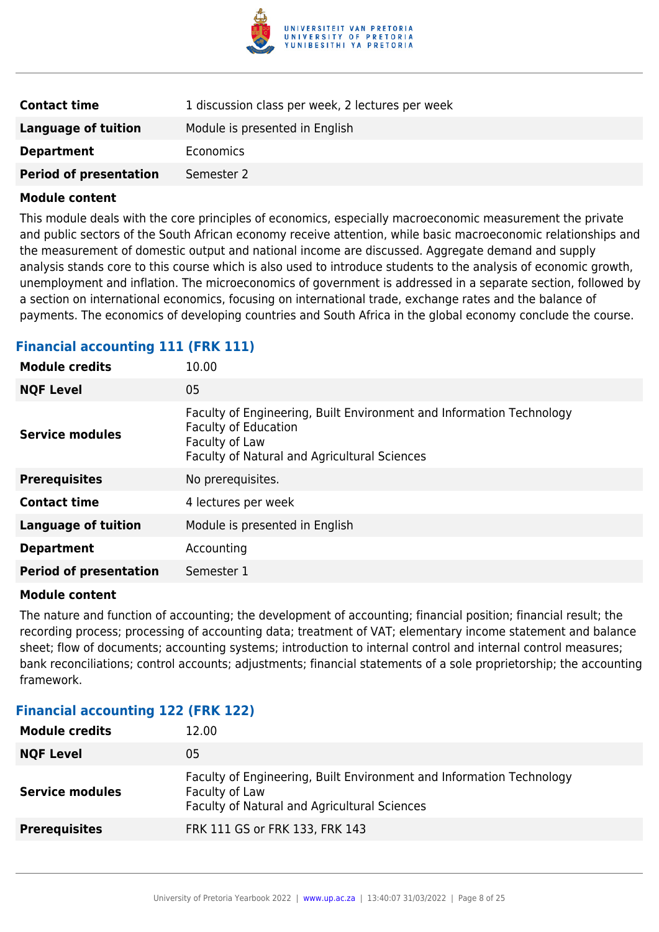

| <b>Contact time</b>           | 1 discussion class per week, 2 lectures per week |
|-------------------------------|--------------------------------------------------|
| Language of tuition           | Module is presented in English                   |
| <b>Department</b>             | Economics                                        |
| <b>Period of presentation</b> | Semester 2                                       |

This module deals with the core principles of economics, especially macroeconomic measurement the private and public sectors of the South African economy receive attention, while basic macroeconomic relationships and the measurement of domestic output and national income are discussed. Aggregate demand and supply analysis stands core to this course which is also used to introduce students to the analysis of economic growth, unemployment and inflation. The microeconomics of government is addressed in a separate section, followed by a section on international economics, focusing on international trade, exchange rates and the balance of payments. The economics of developing countries and South Africa in the global economy conclude the course.

#### **Financial accounting 111 (FRK 111)**

| <b>Module credits</b>         | 10.00                                                                                                                                                                 |
|-------------------------------|-----------------------------------------------------------------------------------------------------------------------------------------------------------------------|
| <b>NQF Level</b>              | 05                                                                                                                                                                    |
| <b>Service modules</b>        | Faculty of Engineering, Built Environment and Information Technology<br><b>Faculty of Education</b><br>Faculty of Law<br>Faculty of Natural and Agricultural Sciences |
| <b>Prerequisites</b>          | No prerequisites.                                                                                                                                                     |
| <b>Contact time</b>           | 4 lectures per week                                                                                                                                                   |
| <b>Language of tuition</b>    | Module is presented in English                                                                                                                                        |
| <b>Department</b>             | Accounting                                                                                                                                                            |
| <b>Period of presentation</b> | Semester 1                                                                                                                                                            |

#### **Module content**

The nature and function of accounting; the development of accounting; financial position; financial result; the recording process; processing of accounting data; treatment of VAT; elementary income statement and balance sheet; flow of documents; accounting systems; introduction to internal control and internal control measures; bank reconciliations; control accounts; adjustments; financial statements of a sole proprietorship; the accounting framework.

#### **Financial accounting 122 (FRK 122)**

| <b>Module credits</b>  | 12.00                                                                                                                                  |
|------------------------|----------------------------------------------------------------------------------------------------------------------------------------|
| <b>NQF Level</b>       | 05                                                                                                                                     |
| <b>Service modules</b> | Faculty of Engineering, Built Environment and Information Technology<br>Faculty of Law<br>Faculty of Natural and Agricultural Sciences |
| <b>Prerequisites</b>   | FRK 111 GS or FRK 133, FRK 143                                                                                                         |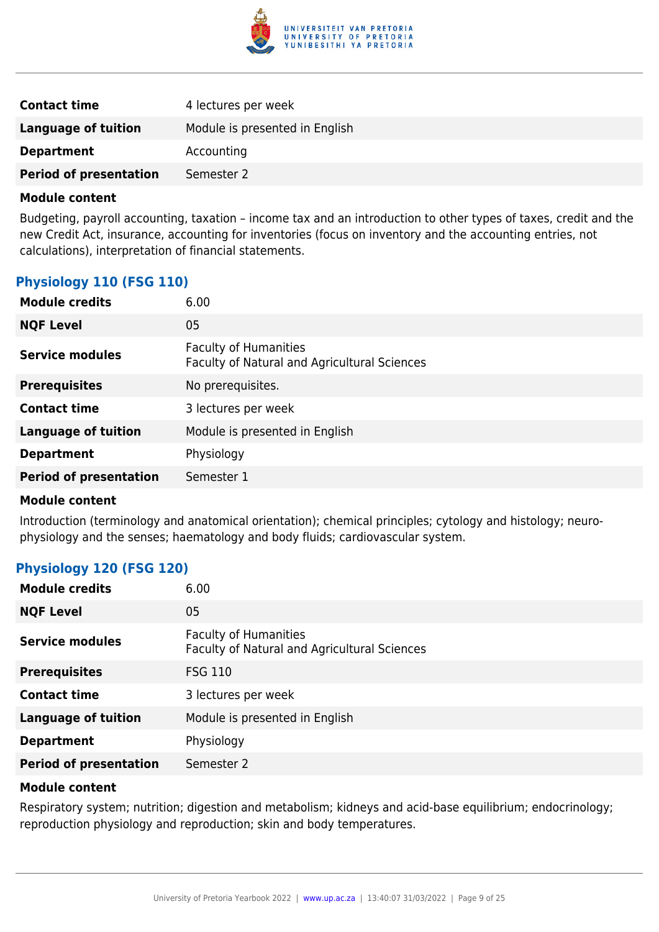

| <b>Contact time</b>           | 4 lectures per week            |
|-------------------------------|--------------------------------|
| Language of tuition           | Module is presented in English |
| <b>Department</b>             | Accounting                     |
| <b>Period of presentation</b> | Semester 2                     |

Budgeting, payroll accounting, taxation – income tax and an introduction to other types of taxes, credit and the new Credit Act, insurance, accounting for inventories (focus on inventory and the accounting entries, not calculations), interpretation of financial statements.

#### **Physiology 110 (FSG 110)**

| <b>Module credits</b>         | 6.00                                                                         |
|-------------------------------|------------------------------------------------------------------------------|
| <b>NQF Level</b>              | 05                                                                           |
| <b>Service modules</b>        | <b>Faculty of Humanities</b><br>Faculty of Natural and Agricultural Sciences |
| <b>Prerequisites</b>          | No prerequisites.                                                            |
| <b>Contact time</b>           | 3 lectures per week                                                          |
| <b>Language of tuition</b>    | Module is presented in English                                               |
| <b>Department</b>             | Physiology                                                                   |
| <b>Period of presentation</b> | Semester 1                                                                   |
|                               |                                                                              |

#### **Module content**

Introduction (terminology and anatomical orientation); chemical principles; cytology and histology; neurophysiology and the senses; haematology and body fluids; cardiovascular system.

#### **Physiology 120 (FSG 120)**

| <b>Module credits</b>         | 6.00                                                                         |
|-------------------------------|------------------------------------------------------------------------------|
| <b>NQF Level</b>              | 05                                                                           |
| <b>Service modules</b>        | <b>Faculty of Humanities</b><br>Faculty of Natural and Agricultural Sciences |
| <b>Prerequisites</b>          | <b>FSG 110</b>                                                               |
| <b>Contact time</b>           | 3 lectures per week                                                          |
| <b>Language of tuition</b>    | Module is presented in English                                               |
| <b>Department</b>             | Physiology                                                                   |
| <b>Period of presentation</b> | Semester 2                                                                   |

#### **Module content**

Respiratory system; nutrition; digestion and metabolism; kidneys and acid-base equilibrium; endocrinology; reproduction physiology and reproduction; skin and body temperatures.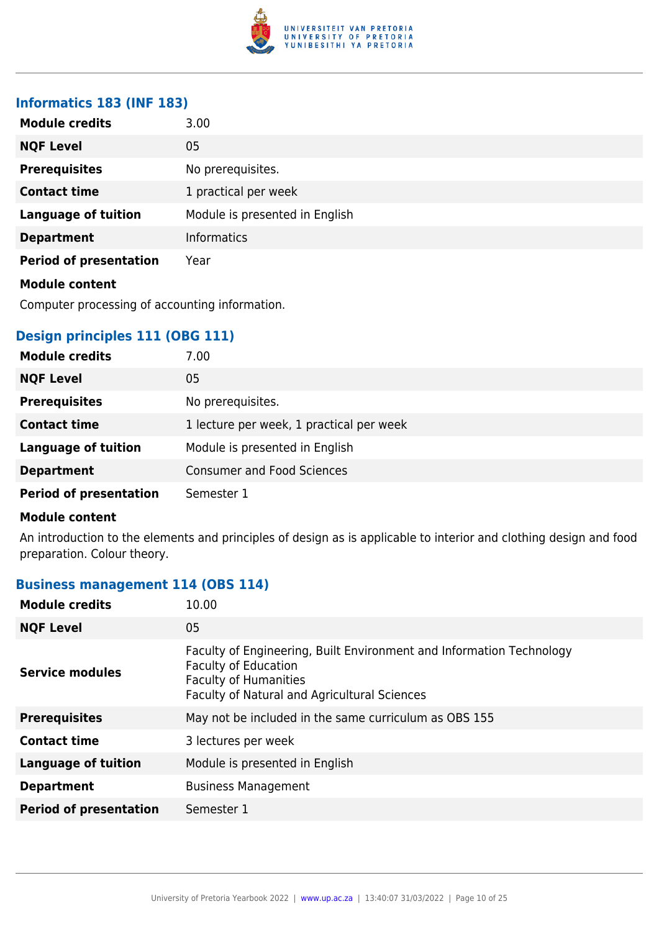

#### **Informatics 183 (INF 183)**

| <b>Module credits</b>         | 3.00                           |
|-------------------------------|--------------------------------|
| <b>NQF Level</b>              | 05                             |
| <b>Prerequisites</b>          | No prerequisites.              |
| <b>Contact time</b>           | 1 practical per week           |
| <b>Language of tuition</b>    | Module is presented in English |
| <b>Department</b>             | <b>Informatics</b>             |
| <b>Period of presentation</b> | Year                           |
| <b>Module content</b>         |                                |

Computer processing of accounting information.

### **Design principles 111 (OBG 111)**

| <b>Module credits</b>         | 7.00                                     |
|-------------------------------|------------------------------------------|
| <b>NQF Level</b>              | 05                                       |
| <b>Prerequisites</b>          | No prerequisites.                        |
| <b>Contact time</b>           | 1 lecture per week, 1 practical per week |
| <b>Language of tuition</b>    | Module is presented in English           |
| <b>Department</b>             | <b>Consumer and Food Sciences</b>        |
| <b>Period of presentation</b> | Semester 1                               |

#### **Module content**

An introduction to the elements and principles of design as is applicable to interior and clothing design and food preparation. Colour theory.

### **Business management 114 (OBS 114)**

| <b>NQF Level</b><br>05<br>Faculty of Engineering, Built Environment and Information Technology<br><b>Faculty of Education</b><br><b>Service modules</b><br><b>Faculty of Humanities</b><br>Faculty of Natural and Agricultural Sciences<br>May not be included in the same curriculum as OBS 155<br><b>Prerequisites</b><br><b>Contact time</b><br>3 lectures per week<br><b>Language of tuition</b><br>Module is presented in English<br><b>Business Management</b><br><b>Department</b><br><b>Period of presentation</b><br>Semester 1 | <b>Module credits</b> | 10.00 |
|------------------------------------------------------------------------------------------------------------------------------------------------------------------------------------------------------------------------------------------------------------------------------------------------------------------------------------------------------------------------------------------------------------------------------------------------------------------------------------------------------------------------------------------|-----------------------|-------|
|                                                                                                                                                                                                                                                                                                                                                                                                                                                                                                                                          |                       |       |
|                                                                                                                                                                                                                                                                                                                                                                                                                                                                                                                                          |                       |       |
|                                                                                                                                                                                                                                                                                                                                                                                                                                                                                                                                          |                       |       |
|                                                                                                                                                                                                                                                                                                                                                                                                                                                                                                                                          |                       |       |
|                                                                                                                                                                                                                                                                                                                                                                                                                                                                                                                                          |                       |       |
|                                                                                                                                                                                                                                                                                                                                                                                                                                                                                                                                          |                       |       |
|                                                                                                                                                                                                                                                                                                                                                                                                                                                                                                                                          |                       |       |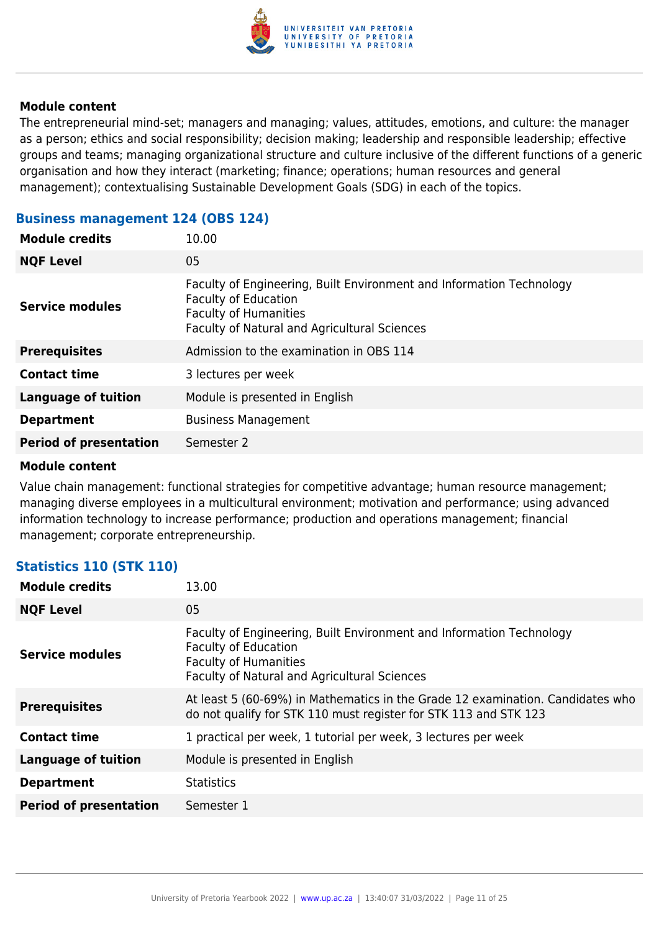

The entrepreneurial mind-set; managers and managing; values, attitudes, emotions, and culture: the manager as a person; ethics and social responsibility; decision making; leadership and responsible leadership; effective groups and teams; managing organizational structure and culture inclusive of the different functions of a generic organisation and how they interact (marketing; finance; operations; human resources and general management); contextualising Sustainable Development Goals (SDG) in each of the topics.

| <b>Module credits</b>         | 10.00                                                                                                                                                                               |
|-------------------------------|-------------------------------------------------------------------------------------------------------------------------------------------------------------------------------------|
| <b>NQF Level</b>              | 05                                                                                                                                                                                  |
| Service modules               | Faculty of Engineering, Built Environment and Information Technology<br><b>Faculty of Education</b><br><b>Faculty of Humanities</b><br>Faculty of Natural and Agricultural Sciences |
| <b>Prerequisites</b>          | Admission to the examination in OBS 114                                                                                                                                             |
| <b>Contact time</b>           | 3 lectures per week                                                                                                                                                                 |
| <b>Language of tuition</b>    | Module is presented in English                                                                                                                                                      |
| <b>Department</b>             | <b>Business Management</b>                                                                                                                                                          |
| <b>Period of presentation</b> | Semester 2                                                                                                                                                                          |
|                               |                                                                                                                                                                                     |

#### **Business management 124 (OBS 124)**

#### **Module content**

Value chain management: functional strategies for competitive advantage; human resource management; managing diverse employees in a multicultural environment; motivation and performance; using advanced information technology to increase performance; production and operations management; financial management; corporate entrepreneurship.

#### **Statistics 110 (STK 110)**

| 13.00                                                                                                                                                                                      |
|--------------------------------------------------------------------------------------------------------------------------------------------------------------------------------------------|
| 05                                                                                                                                                                                         |
| Faculty of Engineering, Built Environment and Information Technology<br><b>Faculty of Education</b><br><b>Faculty of Humanities</b><br><b>Faculty of Natural and Agricultural Sciences</b> |
| At least 5 (60-69%) in Mathematics in the Grade 12 examination. Candidates who<br>do not qualify for STK 110 must register for STK 113 and STK 123                                         |
| 1 practical per week, 1 tutorial per week, 3 lectures per week                                                                                                                             |
| Module is presented in English                                                                                                                                                             |
| <b>Statistics</b>                                                                                                                                                                          |
| Semester 1                                                                                                                                                                                 |
|                                                                                                                                                                                            |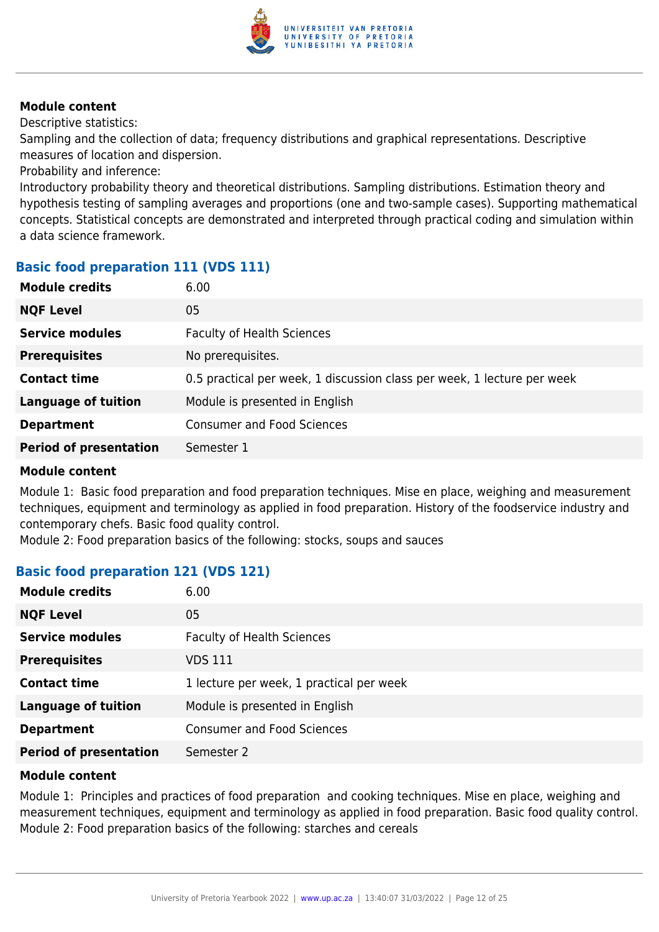

Descriptive statistics:

Sampling and the collection of data; frequency distributions and graphical representations. Descriptive measures of location and dispersion.

Probability and inference:

Introductory probability theory and theoretical distributions. Sampling distributions. Estimation theory and hypothesis testing of sampling averages and proportions (one and two-sample cases). Supporting mathematical concepts. Statistical concepts are demonstrated and interpreted through practical coding and simulation within a data science framework.

### **Basic food preparation 111 (VDS 111)**

| <b>Module credits</b>         | 6.00                                                                    |
|-------------------------------|-------------------------------------------------------------------------|
| <b>NQF Level</b>              | 05                                                                      |
| <b>Service modules</b>        | <b>Faculty of Health Sciences</b>                                       |
| <b>Prerequisites</b>          | No prerequisites.                                                       |
| <b>Contact time</b>           | 0.5 practical per week, 1 discussion class per week, 1 lecture per week |
| <b>Language of tuition</b>    | Module is presented in English                                          |
| <b>Department</b>             | <b>Consumer and Food Sciences</b>                                       |
| <b>Period of presentation</b> | Semester 1                                                              |
|                               |                                                                         |

#### **Module content**

Module 1: Basic food preparation and food preparation techniques. Mise en place, weighing and measurement techniques, equipment and terminology as applied in food preparation. History of the foodservice industry and contemporary chefs. Basic food quality control.

Module 2: Food preparation basics of the following: stocks, soups and sauces

## **Basic food preparation 121 (VDS 121)**

| <b>Module credits</b>         | 6.00                                     |
|-------------------------------|------------------------------------------|
| <b>NQF Level</b>              | 05                                       |
| <b>Service modules</b>        | <b>Faculty of Health Sciences</b>        |
| <b>Prerequisites</b>          | VDS 111                                  |
| <b>Contact time</b>           | 1 lecture per week, 1 practical per week |
| <b>Language of tuition</b>    | Module is presented in English           |
| <b>Department</b>             | <b>Consumer and Food Sciences</b>        |
| <b>Period of presentation</b> | Semester 2                               |

#### **Module content**

Module 1: Principles and practices of food preparation and cooking techniques. Mise en place, weighing and measurement techniques, equipment and terminology as applied in food preparation. Basic food quality control. Module 2: Food preparation basics of the following: starches and cereals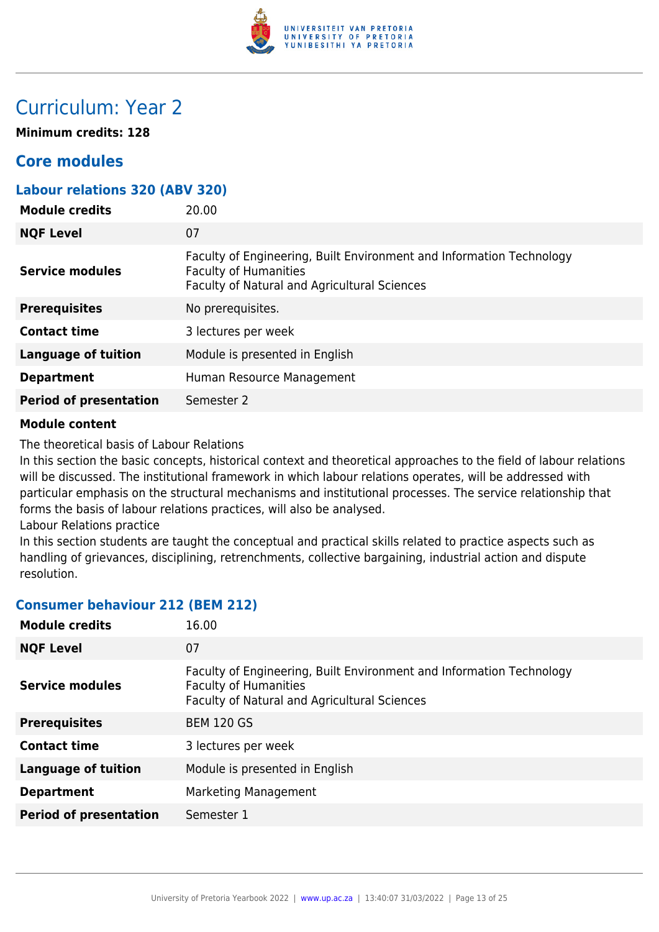

# Curriculum: Year 2

**Minimum credits: 128**

# **Core modules**

| <b>Labour relations 320 (ABV 320)</b> |                                                                                                                                                      |
|---------------------------------------|------------------------------------------------------------------------------------------------------------------------------------------------------|
| <b>Module credits</b>                 | 20.00                                                                                                                                                |
| <b>NQF Level</b>                      | 07                                                                                                                                                   |
| <b>Service modules</b>                | Faculty of Engineering, Built Environment and Information Technology<br><b>Faculty of Humanities</b><br>Faculty of Natural and Agricultural Sciences |
| <b>Prerequisites</b>                  | No prerequisites.                                                                                                                                    |
| <b>Contact time</b>                   | 3 lectures per week                                                                                                                                  |
| <b>Language of tuition</b>            | Module is presented in English                                                                                                                       |
| <b>Department</b>                     | Human Resource Management                                                                                                                            |
| <b>Period of presentation</b>         | Semester 2                                                                                                                                           |
|                                       |                                                                                                                                                      |

#### **Module content**

The theoretical basis of Labour Relations

In this section the basic concepts, historical context and theoretical approaches to the field of labour relations will be discussed. The institutional framework in which labour relations operates, will be addressed with particular emphasis on the structural mechanisms and institutional processes. The service relationship that forms the basis of labour relations practices, will also be analysed.

Labour Relations practice

In this section students are taught the conceptual and practical skills related to practice aspects such as handling of grievances, disciplining, retrenchments, collective bargaining, industrial action and dispute resolution.

#### **Consumer behaviour 212 (BEM 212)**

| <b>Module credits</b>         | 16.00                                                                                                                                                |
|-------------------------------|------------------------------------------------------------------------------------------------------------------------------------------------------|
| <b>NQF Level</b>              | 07                                                                                                                                                   |
| <b>Service modules</b>        | Faculty of Engineering, Built Environment and Information Technology<br><b>Faculty of Humanities</b><br>Faculty of Natural and Agricultural Sciences |
| <b>Prerequisites</b>          | <b>BEM 120 GS</b>                                                                                                                                    |
| <b>Contact time</b>           | 3 lectures per week                                                                                                                                  |
| <b>Language of tuition</b>    | Module is presented in English                                                                                                                       |
| <b>Department</b>             | Marketing Management                                                                                                                                 |
| <b>Period of presentation</b> | Semester 1                                                                                                                                           |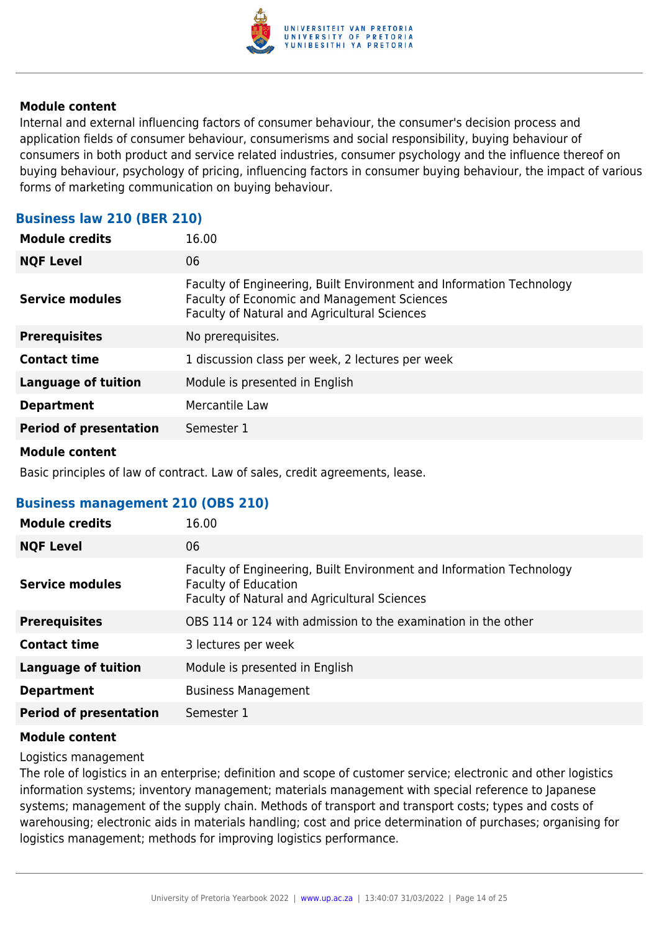

Internal and external influencing factors of consumer behaviour, the consumer's decision process and application fields of consumer behaviour, consumerisms and social responsibility, buying behaviour of consumers in both product and service related industries, consumer psychology and the influence thereof on buying behaviour, psychology of pricing, influencing factors in consumer buying behaviour, the impact of various forms of marketing communication on buying behaviour.

#### **Business law 210 (BER 210)**

| <b>Module credits</b>         | 16.00                                                                                                                                                               |
|-------------------------------|---------------------------------------------------------------------------------------------------------------------------------------------------------------------|
| <b>NQF Level</b>              | 06                                                                                                                                                                  |
| <b>Service modules</b>        | Faculty of Engineering, Built Environment and Information Technology<br>Faculty of Economic and Management Sciences<br>Faculty of Natural and Agricultural Sciences |
| <b>Prerequisites</b>          | No prerequisites.                                                                                                                                                   |
| <b>Contact time</b>           | 1 discussion class per week, 2 lectures per week                                                                                                                    |
| <b>Language of tuition</b>    | Module is presented in English                                                                                                                                      |
| <b>Department</b>             | Mercantile Law                                                                                                                                                      |
| <b>Period of presentation</b> | Semester 1                                                                                                                                                          |
|                               |                                                                                                                                                                     |

#### **Module content**

Basic principles of law of contract. Law of sales, credit agreements, lease.

#### **Business management 210 (OBS 210)**

| <b>Module credits</b>         | 16.00                                                                                                                                                      |
|-------------------------------|------------------------------------------------------------------------------------------------------------------------------------------------------------|
| <b>NQF Level</b>              | 06                                                                                                                                                         |
| <b>Service modules</b>        | Faculty of Engineering, Built Environment and Information Technology<br><b>Faculty of Education</b><br><b>Faculty of Natural and Agricultural Sciences</b> |
| <b>Prerequisites</b>          | OBS 114 or 124 with admission to the examination in the other                                                                                              |
| <b>Contact time</b>           | 3 lectures per week                                                                                                                                        |
| <b>Language of tuition</b>    | Module is presented in English                                                                                                                             |
| <b>Department</b>             | <b>Business Management</b>                                                                                                                                 |
| <b>Period of presentation</b> | Semester 1                                                                                                                                                 |

#### **Module content**

Logistics management

The role of logistics in an enterprise; definition and scope of customer service; electronic and other logistics information systems; inventory management; materials management with special reference to Japanese systems; management of the supply chain. Methods of transport and transport costs; types and costs of warehousing; electronic aids in materials handling; cost and price determination of purchases; organising for logistics management; methods for improving logistics performance.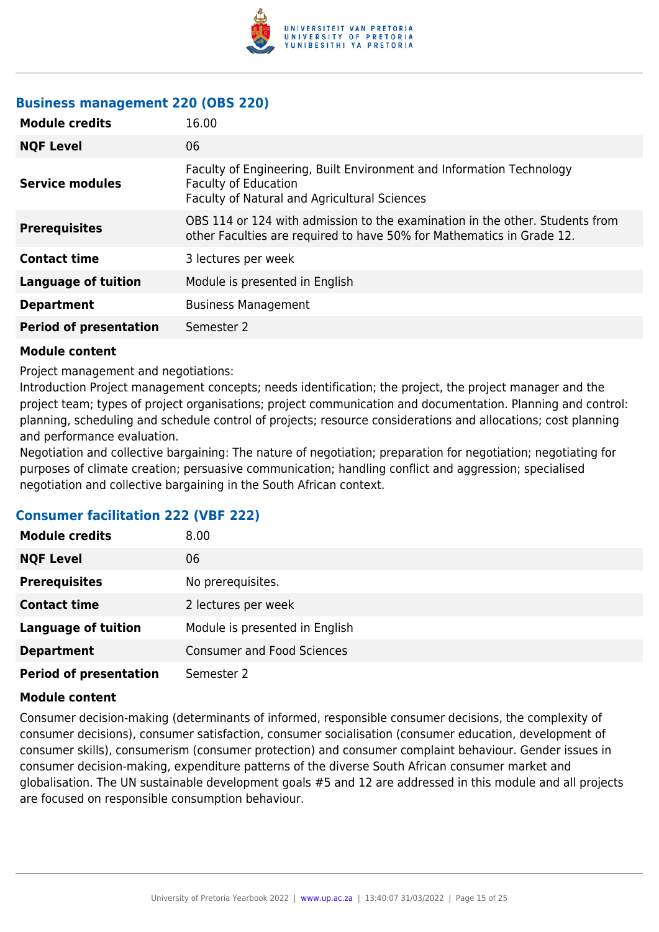

# **Business management 220 (OBS 220)**

| <b>Module credits</b>         | 16.00                                                                                                                                                 |
|-------------------------------|-------------------------------------------------------------------------------------------------------------------------------------------------------|
| <b>NQF Level</b>              | 06                                                                                                                                                    |
| <b>Service modules</b>        | Faculty of Engineering, Built Environment and Information Technology<br><b>Faculty of Education</b><br>Faculty of Natural and Agricultural Sciences   |
| <b>Prerequisites</b>          | OBS 114 or 124 with admission to the examination in the other. Students from<br>other Faculties are required to have 50% for Mathematics in Grade 12. |
| <b>Contact time</b>           | 3 lectures per week                                                                                                                                   |
| <b>Language of tuition</b>    | Module is presented in English                                                                                                                        |
| <b>Department</b>             | <b>Business Management</b>                                                                                                                            |
| <b>Period of presentation</b> | Semester 2                                                                                                                                            |

#### **Module content**

Project management and negotiations:

Introduction Project management concepts; needs identification; the project, the project manager and the project team; types of project organisations; project communication and documentation. Planning and control: planning, scheduling and schedule control of projects; resource considerations and allocations; cost planning and performance evaluation.

Negotiation and collective bargaining: The nature of negotiation; preparation for negotiation; negotiating for purposes of climate creation; persuasive communication; handling conflict and aggression; specialised negotiation and collective bargaining in the South African context.

#### **Consumer facilitation 222 (VBF 222)**

| <b>Module credits</b>         | 8.00                              |
|-------------------------------|-----------------------------------|
| <b>NQF Level</b>              | 06                                |
| <b>Prerequisites</b>          | No prerequisites.                 |
| <b>Contact time</b>           | 2 lectures per week               |
| <b>Language of tuition</b>    | Module is presented in English    |
| <b>Department</b>             | <b>Consumer and Food Sciences</b> |
| <b>Period of presentation</b> | Semester 2                        |

#### **Module content**

Consumer decision-making (determinants of informed, responsible consumer decisions, the complexity of consumer decisions), consumer satisfaction, consumer socialisation (consumer education, development of consumer skills), consumerism (consumer protection) and consumer complaint behaviour. Gender issues in consumer decision-making, expenditure patterns of the diverse South African consumer market and globalisation. The UN sustainable development goals #5 and 12 are addressed in this module and all projects are focused on responsible consumption behaviour.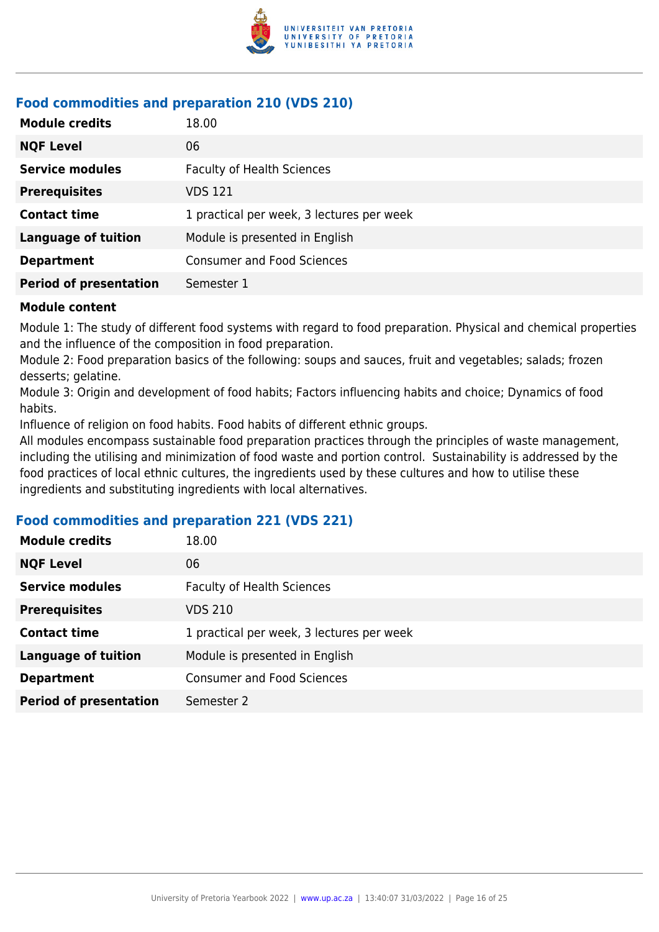

# **Food commodities and preparation 210 (VDS 210)**

| <b>Module credits</b>         | 18.00                                     |
|-------------------------------|-------------------------------------------|
| <b>NQF Level</b>              | 06                                        |
| <b>Service modules</b>        | <b>Faculty of Health Sciences</b>         |
| <b>Prerequisites</b>          | VDS 121                                   |
| <b>Contact time</b>           | 1 practical per week, 3 lectures per week |
| <b>Language of tuition</b>    | Module is presented in English            |
| <b>Department</b>             | <b>Consumer and Food Sciences</b>         |
| <b>Period of presentation</b> | Semester 1                                |

#### **Module content**

Module 1: The study of different food systems with regard to food preparation. Physical and chemical properties and the influence of the composition in food preparation.

Module 2: Food preparation basics of the following: soups and sauces, fruit and vegetables; salads; frozen desserts; gelatine.

Module 3: Origin and development of food habits; Factors influencing habits and choice; Dynamics of food habits.

Influence of religion on food habits. Food habits of different ethnic groups.

All modules encompass sustainable food preparation practices through the principles of waste management, including the utilising and minimization of food waste and portion control. Sustainability is addressed by the food practices of local ethnic cultures, the ingredients used by these cultures and how to utilise these ingredients and substituting ingredients with local alternatives.

#### **Food commodities and preparation 221 (VDS 221)**

| <b>Module credits</b>         | 18.00                                     |
|-------------------------------|-------------------------------------------|
| <b>NQF Level</b>              | 06                                        |
| <b>Service modules</b>        | <b>Faculty of Health Sciences</b>         |
| <b>Prerequisites</b>          | VDS 210                                   |
| <b>Contact time</b>           | 1 practical per week, 3 lectures per week |
| <b>Language of tuition</b>    | Module is presented in English            |
| <b>Department</b>             | <b>Consumer and Food Sciences</b>         |
| <b>Period of presentation</b> | Semester 2                                |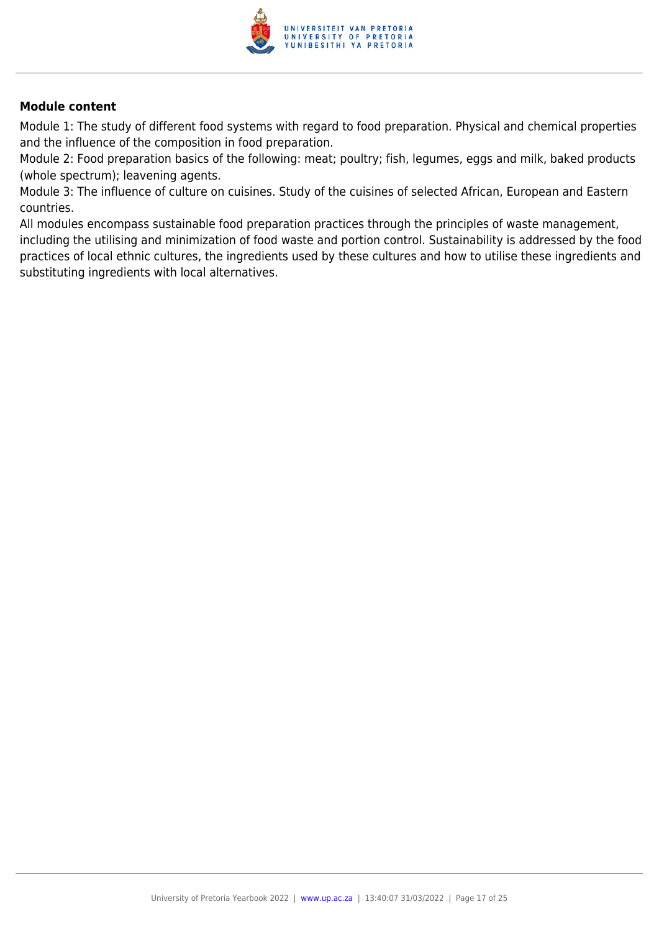

Module 1: The study of different food systems with regard to food preparation. Physical and chemical properties and the influence of the composition in food preparation.

Module 2: Food preparation basics of the following: meat; poultry; fish, legumes, eggs and milk, baked products (whole spectrum); leavening agents.

Module 3: The influence of culture on cuisines. Study of the cuisines of selected African, European and Eastern countries.

All modules encompass sustainable food preparation practices through the principles of waste management, including the utilising and minimization of food waste and portion control. Sustainability is addressed by the food practices of local ethnic cultures, the ingredients used by these cultures and how to utilise these ingredients and substituting ingredients with local alternatives.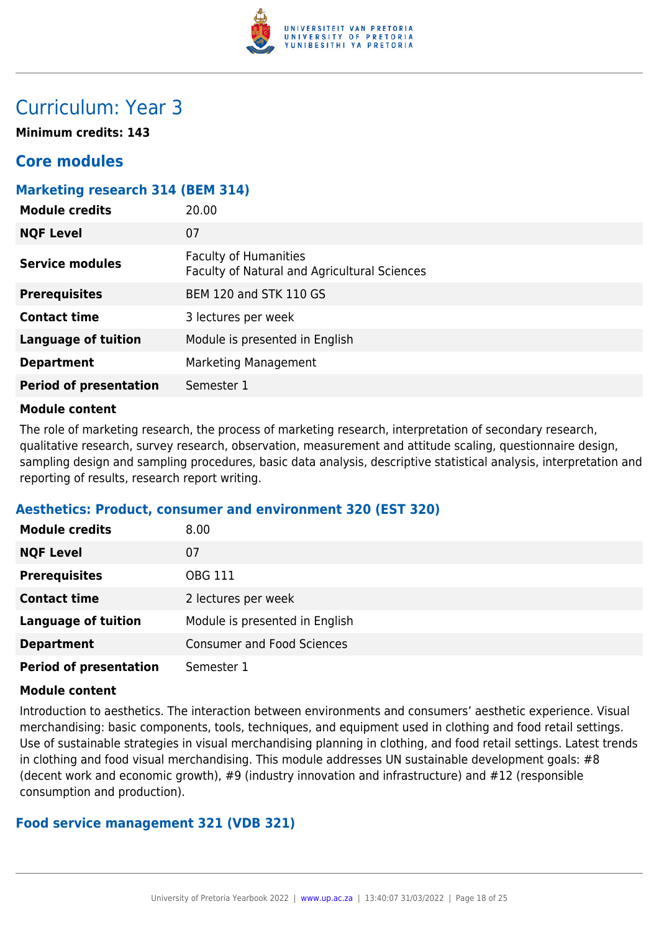

# Curriculum: Year 3

**Minimum credits: 143**

# **Core modules**

#### **Marketing research 314 (BEM 314)**

| <b>Module credits</b>         | 20.00                                                                        |
|-------------------------------|------------------------------------------------------------------------------|
| <b>NQF Level</b>              | 07                                                                           |
| Service modules               | <b>Faculty of Humanities</b><br>Faculty of Natural and Agricultural Sciences |
| <b>Prerequisites</b>          | <b>BEM 120 and STK 110 GS</b>                                                |
| <b>Contact time</b>           | 3 lectures per week                                                          |
| <b>Language of tuition</b>    | Module is presented in English                                               |
| <b>Department</b>             | Marketing Management                                                         |
| <b>Period of presentation</b> | Semester 1                                                                   |

#### **Module content**

The role of marketing research, the process of marketing research, interpretation of secondary research, qualitative research, survey research, observation, measurement and attitude scaling, questionnaire design, sampling design and sampling procedures, basic data analysis, descriptive statistical analysis, interpretation and reporting of results, research report writing.

#### **Aesthetics: Product, consumer and environment 320 (EST 320)**

| <b>Module credits</b>         | 8.00                              |
|-------------------------------|-----------------------------------|
| <b>NQF Level</b>              | 07                                |
| <b>Prerequisites</b>          | OBG 111                           |
| <b>Contact time</b>           | 2 lectures per week               |
| <b>Language of tuition</b>    | Module is presented in English    |
| <b>Department</b>             | <b>Consumer and Food Sciences</b> |
| <b>Period of presentation</b> | Semester 1                        |

#### **Module content**

Introduction to aesthetics. The interaction between environments and consumers' aesthetic experience. Visual merchandising: basic components, tools, techniques, and equipment used in clothing and food retail settings. Use of sustainable strategies in visual merchandising planning in clothing, and food retail settings. Latest trends in clothing and food visual merchandising. This module addresses UN sustainable development goals: #8 (decent work and economic growth), #9 (industry innovation and infrastructure) and #12 (responsible consumption and production).

#### **Food service management 321 (VDB 321)**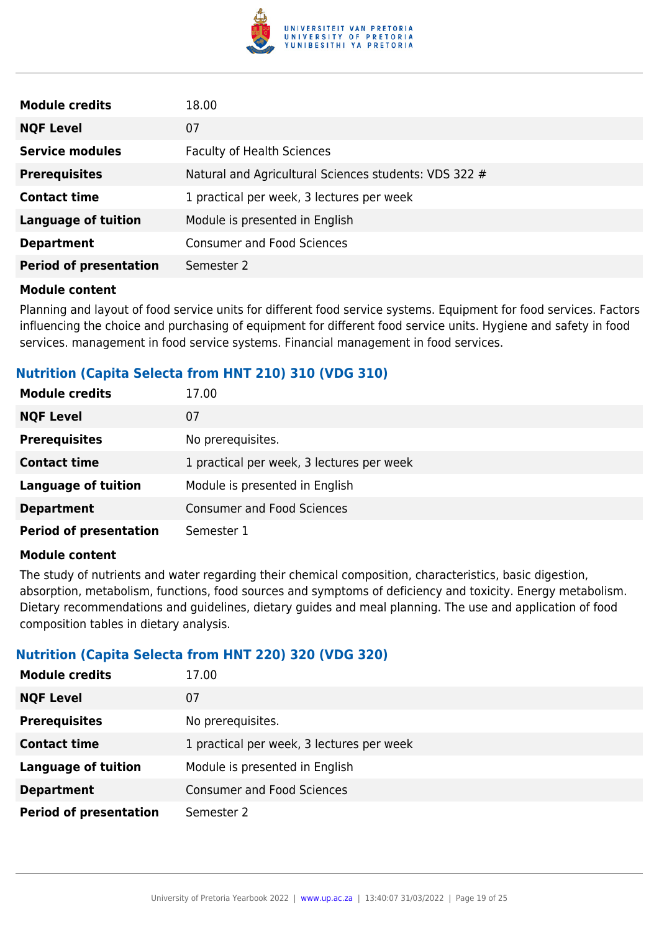

| <b>Module credits</b>         | 18.00                                                 |
|-------------------------------|-------------------------------------------------------|
| <b>NQF Level</b>              | 07                                                    |
| <b>Service modules</b>        | <b>Faculty of Health Sciences</b>                     |
| <b>Prerequisites</b>          | Natural and Agricultural Sciences students: VDS 322 # |
| <b>Contact time</b>           | 1 practical per week, 3 lectures per week             |
| <b>Language of tuition</b>    | Module is presented in English                        |
| <b>Department</b>             | <b>Consumer and Food Sciences</b>                     |
| <b>Period of presentation</b> | Semester 2                                            |

Planning and layout of food service units for different food service systems. Equipment for food services. Factors influencing the choice and purchasing of equipment for different food service units. Hygiene and safety in food services. management in food service systems. Financial management in food services.

#### **Nutrition (Capita Selecta from HNT 210) 310 (VDG 310)**

| <b>Module credits</b>         | 17.00                                     |
|-------------------------------|-------------------------------------------|
| <b>NQF Level</b>              | 07                                        |
| <b>Prerequisites</b>          | No prerequisites.                         |
| <b>Contact time</b>           | 1 practical per week, 3 lectures per week |
| <b>Language of tuition</b>    | Module is presented in English            |
| <b>Department</b>             | <b>Consumer and Food Sciences</b>         |
| <b>Period of presentation</b> | Semester 1                                |

#### **Module content**

The study of nutrients and water regarding their chemical composition, characteristics, basic digestion, absorption, metabolism, functions, food sources and symptoms of deficiency and toxicity. Energy metabolism. Dietary recommendations and guidelines, dietary guides and meal planning. The use and application of food composition tables in dietary analysis.

#### **Nutrition (Capita Selecta from HNT 220) 320 (VDG 320)**

| Module credits                | 17.00                                     |
|-------------------------------|-------------------------------------------|
| <b>NQF Level</b>              | 07                                        |
| <b>Prerequisites</b>          | No prerequisites.                         |
| <b>Contact time</b>           | 1 practical per week, 3 lectures per week |
| <b>Language of tuition</b>    | Module is presented in English            |
| <b>Department</b>             | <b>Consumer and Food Sciences</b>         |
| <b>Period of presentation</b> | Semester 2                                |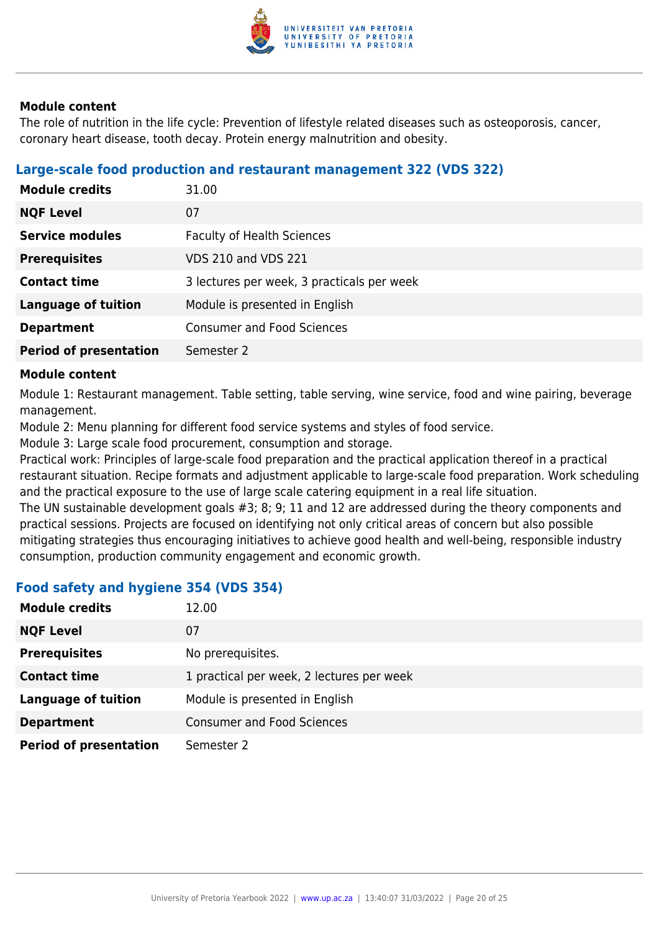

The role of nutrition in the life cycle: Prevention of lifestyle related diseases such as osteoporosis, cancer, coronary heart disease, tooth decay. Protein energy malnutrition and obesity.

#### **Large-scale food production and restaurant management 322 (VDS 322)**

| <b>Module credits</b>         | 31.00                                      |
|-------------------------------|--------------------------------------------|
| <b>NQF Level</b>              | 07                                         |
| <b>Service modules</b>        | <b>Faculty of Health Sciences</b>          |
| <b>Prerequisites</b>          | <b>VDS 210 and VDS 221</b>                 |
| <b>Contact time</b>           | 3 lectures per week, 3 practicals per week |
| <b>Language of tuition</b>    | Module is presented in English             |
| <b>Department</b>             | <b>Consumer and Food Sciences</b>          |
| <b>Period of presentation</b> | Semester 2                                 |

#### **Module content**

Module 1: Restaurant management. Table setting, table serving, wine service, food and wine pairing, beverage management.

Module 2: Menu planning for different food service systems and styles of food service.

Module 3: Large scale food procurement, consumption and storage.

Practical work: Principles of large-scale food preparation and the practical application thereof in a practical restaurant situation. Recipe formats and adjustment applicable to large-scale food preparation. Work scheduling and the practical exposure to the use of large scale catering equipment in a real life situation.

The UN sustainable development goals #3; 8; 9; 11 and 12 are addressed during the theory components and practical sessions. Projects are focused on identifying not only critical areas of concern but also possible mitigating strategies thus encouraging initiatives to achieve good health and well-being, responsible industry consumption, production community engagement and economic growth.

#### **Food safety and hygiene 354 (VDS 354)**

| <b>Module credits</b>         | 12.00                                     |
|-------------------------------|-------------------------------------------|
| <b>NQF Level</b>              | 07                                        |
| <b>Prerequisites</b>          | No prerequisites.                         |
| <b>Contact time</b>           | 1 practical per week, 2 lectures per week |
| <b>Language of tuition</b>    | Module is presented in English            |
| <b>Department</b>             | <b>Consumer and Food Sciences</b>         |
| <b>Period of presentation</b> | Semester 2                                |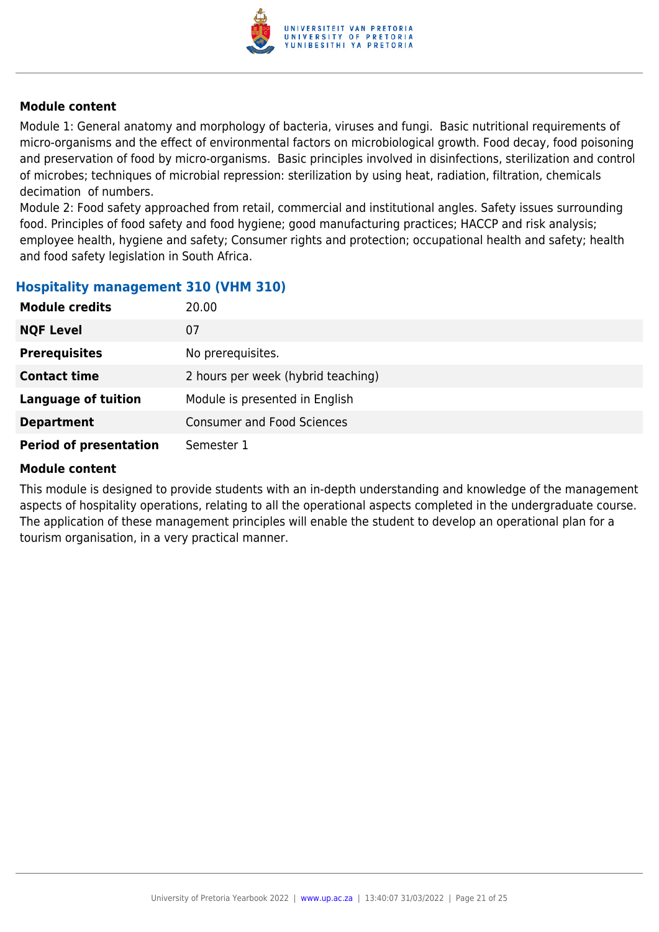

Module 1: General anatomy and morphology of bacteria, viruses and fungi. Basic nutritional requirements of micro-organisms and the effect of environmental factors on microbiological growth. Food decay, food poisoning and preservation of food by micro-organisms. Basic principles involved in disinfections, sterilization and control of microbes; techniques of microbial repression: sterilization by using heat, radiation, filtration, chemicals decimation of numbers.

Module 2: Food safety approached from retail, commercial and institutional angles. Safety issues surrounding food. Principles of food safety and food hygiene; good manufacturing practices; HACCP and risk analysis; employee health, hygiene and safety; Consumer rights and protection; occupational health and safety; health and food safety legislation in South Africa.

#### **Hospitality management 310 (VHM 310)**

| <b>Module credits</b>         | 20.00                              |
|-------------------------------|------------------------------------|
| <b>NQF Level</b>              | 07                                 |
| <b>Prerequisites</b>          | No prerequisites.                  |
| <b>Contact time</b>           | 2 hours per week (hybrid teaching) |
| <b>Language of tuition</b>    | Module is presented in English     |
| <b>Department</b>             | <b>Consumer and Food Sciences</b>  |
| <b>Period of presentation</b> | Semester 1                         |

#### **Module content**

This module is designed to provide students with an in-depth understanding and knowledge of the management aspects of hospitality operations, relating to all the operational aspects completed in the undergraduate course. The application of these management principles will enable the student to develop an operational plan for a tourism organisation, in a very practical manner.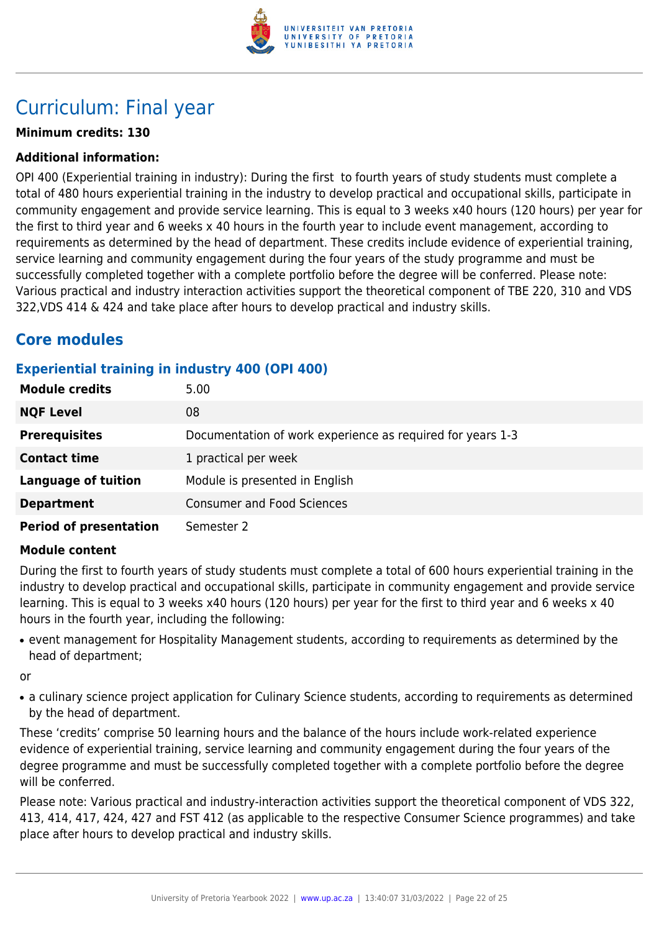

# Curriculum: Final year

### **Minimum credits: 130**

#### **Additional information:**

OPI 400 (Experiential training in industry): During the first to fourth years of study students must complete a total of 480 hours experiential training in the industry to develop practical and occupational skills, participate in community engagement and provide service learning. This is equal to 3 weeks x40 hours (120 hours) per year for the first to third year and 6 weeks x 40 hours in the fourth year to include event management, according to requirements as determined by the head of department. These credits include evidence of experiential training, service learning and community engagement during the four years of the study programme and must be successfully completed together with a complete portfolio before the degree will be conferred. Please note: Various practical and industry interaction activities support the theoretical component of TBE 220, 310 and VDS 322,VDS 414 & 424 and take place after hours to develop practical and industry skills.

# **Core modules**

### **Experiential training in industry 400 (OPI 400)**

| <b>Module credits</b>         | 5.00                                                       |
|-------------------------------|------------------------------------------------------------|
| <b>NQF Level</b>              | 08                                                         |
| <b>Prerequisites</b>          | Documentation of work experience as required for years 1-3 |
| <b>Contact time</b>           | 1 practical per week                                       |
| <b>Language of tuition</b>    | Module is presented in English                             |
| <b>Department</b>             | <b>Consumer and Food Sciences</b>                          |
| <b>Period of presentation</b> | Semester 2                                                 |

#### **Module content**

During the first to fourth years of study students must complete a total of 600 hours experiential training in the industry to develop practical and occupational skills, participate in community engagement and provide service learning. This is equal to 3 weeks x40 hours (120 hours) per year for the first to third year and 6 weeks x 40 hours in the fourth year, including the following:

• event management for Hospitality Management students, according to requirements as determined by the head of department;

or

• a culinary science project application for Culinary Science students, according to requirements as determined by the head of department.

These 'credits' comprise 50 learning hours and the balance of the hours include work-related experience evidence of experiential training, service learning and community engagement during the four years of the degree programme and must be successfully completed together with a complete portfolio before the degree will be conferred.

Please note: Various practical and industry-interaction activities support the theoretical component of VDS 322, 413, 414, 417, 424, 427 and FST 412 (as applicable to the respective Consumer Science programmes) and take place after hours to develop practical and industry skills.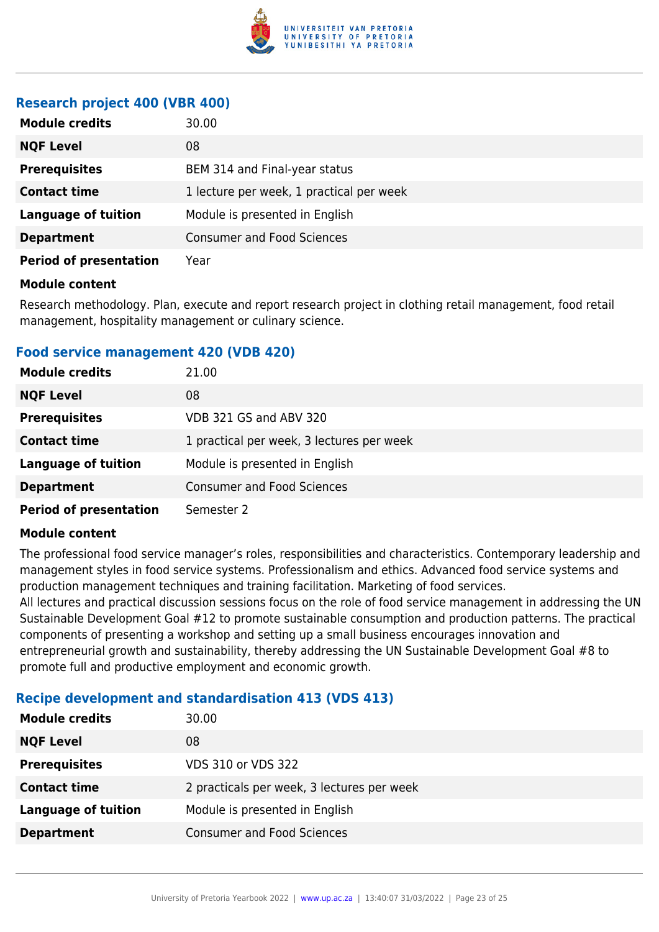

#### **Research project 400 (VBR 400)**

| <b>Module credits</b>         | 30.00                                    |
|-------------------------------|------------------------------------------|
| <b>NQF Level</b>              | 08                                       |
| <b>Prerequisites</b>          | BEM 314 and Final-year status            |
| <b>Contact time</b>           | 1 lecture per week, 1 practical per week |
| <b>Language of tuition</b>    | Module is presented in English           |
| <b>Department</b>             | <b>Consumer and Food Sciences</b>        |
| <b>Period of presentation</b> | Year                                     |

#### **Module content**

Research methodology. Plan, execute and report research project in clothing retail management, food retail management, hospitality management or culinary science.

#### **Food service management 420 (VDB 420)**

| <b>Module credits</b>         | 21.00                                     |
|-------------------------------|-------------------------------------------|
| <b>NQF Level</b>              | 08                                        |
| <b>Prerequisites</b>          | VDB 321 GS and ABV 320                    |
| <b>Contact time</b>           | 1 practical per week, 3 lectures per week |
| <b>Language of tuition</b>    | Module is presented in English            |
| <b>Department</b>             | <b>Consumer and Food Sciences</b>         |
| <b>Period of presentation</b> | Semester 2                                |

#### **Module content**

The professional food service manager's roles, responsibilities and characteristics. Contemporary leadership and management styles in food service systems. Professionalism and ethics. Advanced food service systems and production management techniques and training facilitation. Marketing of food services.

All lectures and practical discussion sessions focus on the role of food service management in addressing the UN Sustainable Development Goal #12 to promote sustainable consumption and production patterns. The practical components of presenting a workshop and setting up a small business encourages innovation and entrepreneurial growth and sustainability, thereby addressing the UN Sustainable Development Goal #8 to promote full and productive employment and economic growth.

#### **Recipe development and standardisation 413 (VDS 413)**

| <b>Module credits</b> | 30.00                                      |
|-----------------------|--------------------------------------------|
| <b>NQF Level</b>      | 08                                         |
| <b>Prerequisites</b>  | <b>VDS 310 or VDS 322</b>                  |
| <b>Contact time</b>   | 2 practicals per week, 3 lectures per week |
| Language of tuition   | Module is presented in English             |
| <b>Department</b>     | <b>Consumer and Food Sciences</b>          |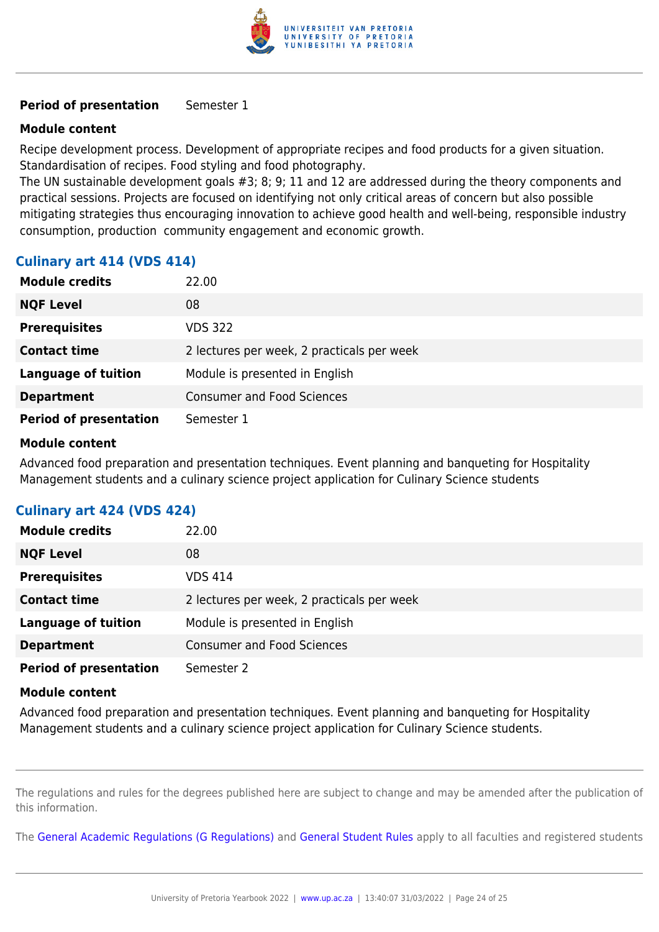

#### **Period of presentation** Semester 1

#### **Module content**

Recipe development process. Development of appropriate recipes and food products for a given situation. Standardisation of recipes. Food styling and food photography.

The UN sustainable development goals #3; 8; 9; 11 and 12 are addressed during the theory components and practical sessions. Projects are focused on identifying not only critical areas of concern but also possible mitigating strategies thus encouraging innovation to achieve good health and well-being, responsible industry consumption, production community engagement and economic growth.

#### **Culinary art 414 (VDS 414)**

| <b>Module credits</b>         | 22.00                                      |
|-------------------------------|--------------------------------------------|
| <b>NQF Level</b>              | 08                                         |
| <b>Prerequisites</b>          | <b>VDS 322</b>                             |
| <b>Contact time</b>           | 2 lectures per week, 2 practicals per week |
| <b>Language of tuition</b>    | Module is presented in English             |
| <b>Department</b>             | <b>Consumer and Food Sciences</b>          |
| <b>Period of presentation</b> | Semester 1                                 |

#### **Module content**

Advanced food preparation and presentation techniques. Event planning and banqueting for Hospitality Management students and a culinary science project application for Culinary Science students

#### **Culinary art 424 (VDS 424)**

| <b>Module credits</b>         | 22.00                                      |
|-------------------------------|--------------------------------------------|
| <b>NQF Level</b>              | 08                                         |
| <b>Prerequisites</b>          | VDS 414                                    |
| <b>Contact time</b>           | 2 lectures per week, 2 practicals per week |
| <b>Language of tuition</b>    | Module is presented in English             |
| <b>Department</b>             | <b>Consumer and Food Sciences</b>          |
| <b>Period of presentation</b> | Semester 2                                 |

#### **Module content**

Advanced food preparation and presentation techniques. Event planning and banqueting for Hospitality Management students and a culinary science project application for Culinary Science students.

The regulations and rules for the degrees published here are subject to change and may be amended after the publication of this information.

The [General Academic Regulations \(G Regulations\)](https://www.up.ac.za/yearbooks/2022/rules/view/REG) and [General Student Rules](https://www.up.ac.za/yearbooks/2022/rules/view/RUL) apply to all faculties and registered students